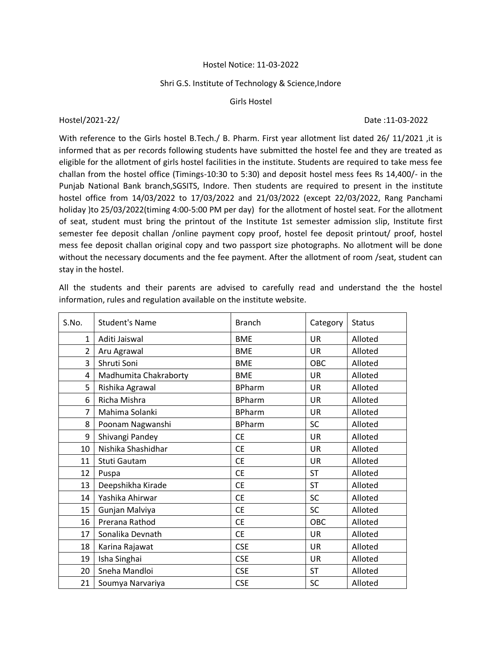# Hostel Notice: 11-03-2022

# Shri G.S. Institute of Technology & Science,Indore

## Girls Hostel

## Hostel/2021-22/ Date :11-03-2022

With reference to the Girls hostel B.Tech./ B. Pharm. First year allotment list dated 26/ 11/2021 ,it is informed that as per records following students have submitted the hostel fee and they are treated as eligible for the allotment of girls hostel facilities in the institute. Students are required to take mess fee challan from the hostel office (Timings-10:30 to 5:30) and deposit hostel mess fees Rs 14,400/- in the Punjab National Bank branch,SGSITS, Indore. Then students are required to present in the institute hostel office from 14/03/2022 to 17/03/2022 and 21/03/2022 (except 22/03/2022, Rang Panchami holiday )to 25/03/2022(timing 4:00-5:00 PM per day) for the allotment of hostel seat. For the allotment of seat, student must bring the printout of the Institute 1st semester admission slip, Institute first semester fee deposit challan /online payment copy proof, hostel fee deposit printout/ proof, hostel mess fee deposit challan original copy and two passport size photographs. No allotment will be done without the necessary documents and the fee payment. After the allotment of room /seat, student can stay in the hostel.

| S.No.          | <b>Student's Name</b> | <b>Branch</b> | Category   | <b>Status</b> |
|----------------|-----------------------|---------------|------------|---------------|
| $\mathbf{1}$   | Aditi Jaiswal         | <b>BME</b>    | <b>UR</b>  | Alloted       |
| $\overline{2}$ | Aru Agrawal           | <b>BME</b>    | <b>UR</b>  | Alloted       |
| 3              | Shruti Soni           | <b>BME</b>    | <b>OBC</b> | Alloted       |
| 4              | Madhumita Chakraborty | <b>BME</b>    | <b>UR</b>  | Alloted       |
| 5              | Rishika Agrawal       | <b>BPharm</b> | <b>UR</b>  | Alloted       |
| 6              | Richa Mishra          | <b>BPharm</b> | <b>UR</b>  | Alloted       |
| $\overline{7}$ | Mahima Solanki        | <b>BPharm</b> | <b>UR</b>  | Alloted       |
| 8              | Poonam Nagwanshi      | <b>BPharm</b> | <b>SC</b>  | Alloted       |
| 9              | Shivangi Pandey       | <b>CE</b>     | <b>UR</b>  | Alloted       |
| 10             | Nishika Shashidhar    | <b>CE</b>     | <b>UR</b>  | Alloted       |
| 11             | Stuti Gautam          | <b>CE</b>     | <b>UR</b>  | Alloted       |
| 12             | Puspa                 | <b>CE</b>     | <b>ST</b>  | Alloted       |
| 13             | Deepshikha Kirade     | <b>CE</b>     | <b>ST</b>  | Alloted       |
| 14             | Yashika Ahirwar       | <b>CE</b>     | <b>SC</b>  | Alloted       |
| 15             | Gunjan Malviya        | <b>CE</b>     | <b>SC</b>  | Alloted       |
| 16             | Prerana Rathod        | <b>CE</b>     | <b>OBC</b> | Alloted       |
| 17             | Sonalika Devnath      | <b>CE</b>     | <b>UR</b>  | Alloted       |
| 18             | Karina Rajawat        | <b>CSE</b>    | <b>UR</b>  | Alloted       |
| 19             | Isha Singhai          | <b>CSE</b>    | <b>UR</b>  | Alloted       |
| 20             | Sneha Mandloi         | <b>CSE</b>    | <b>ST</b>  | Alloted       |
| 21             | Soumya Narvariya      | <b>CSE</b>    | SC         | Alloted       |

All the students and their parents are advised to carefully read and understand the the hostel information, rules and regulation available on the institute website.